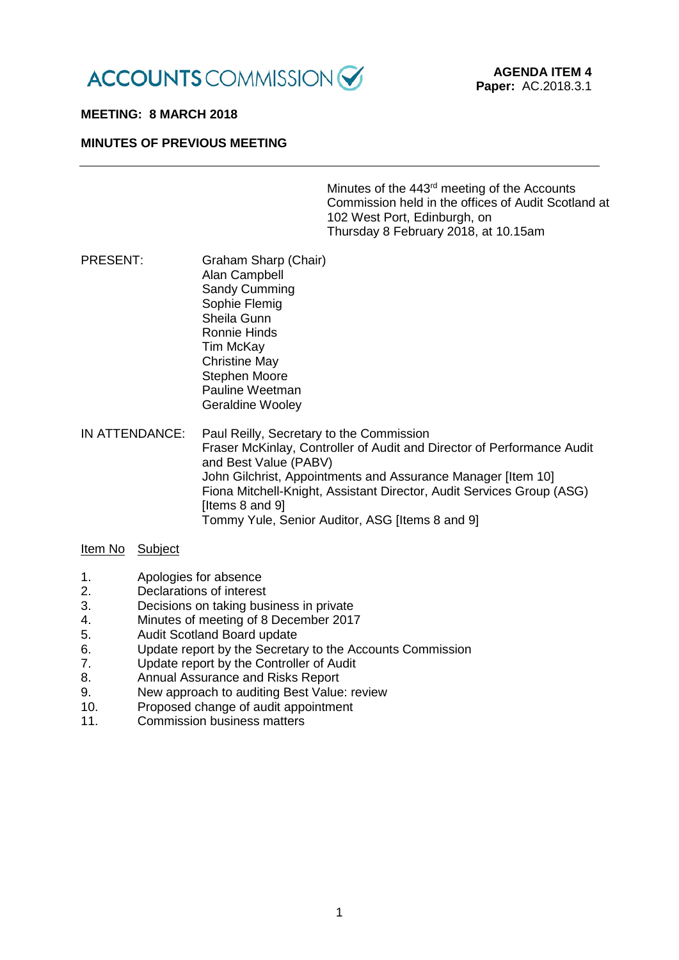

### **MEETING: 8 MARCH 2018**

## **MINUTES OF PREVIOUS MEETING**

Minutes of the 443rd meeting of the Accounts Commission held in the offices of Audit Scotland at 102 West Port, Edinburgh, on Thursday 8 February 2018, at 10.15am

PRESENT: Graham Sharp (Chair) Alan Campbell Sandy Cumming Sophie Flemig Sheila Gunn Ronnie Hinds Tim McKay Christine May Stephen Moore Pauline Weetman Geraldine Wooley

IN ATTENDANCE: Paul Reilly, Secretary to the Commission Fraser McKinlay, Controller of Audit and Director of Performance Audit and Best Value (PABV) John Gilchrist, Appointments and Assurance Manager [Item 10] Fiona Mitchell-Knight, Assistant Director, Audit Services Group (ASG) [Items 8 and 9] Tommy Yule, Senior Auditor, ASG [Items 8 and 9]

## Item No Subject

- 1. Apologies for absence
- 2. Declarations of interest
- 3. Decisions on taking business in private
- 4. Minutes of meeting of 8 December 2017<br>5 Audit Scotland Board undate
- 5. Audit Scotland Board update
- 6. Update report by the Secretary to the Accounts Commission
- 7. Update report by the Controller of Audit
- 8. Annual Assurance and Risks Report
- 9. New approach to auditing Best Value: review
- 10. Proposed change of audit appointment
- 11. Commission business matters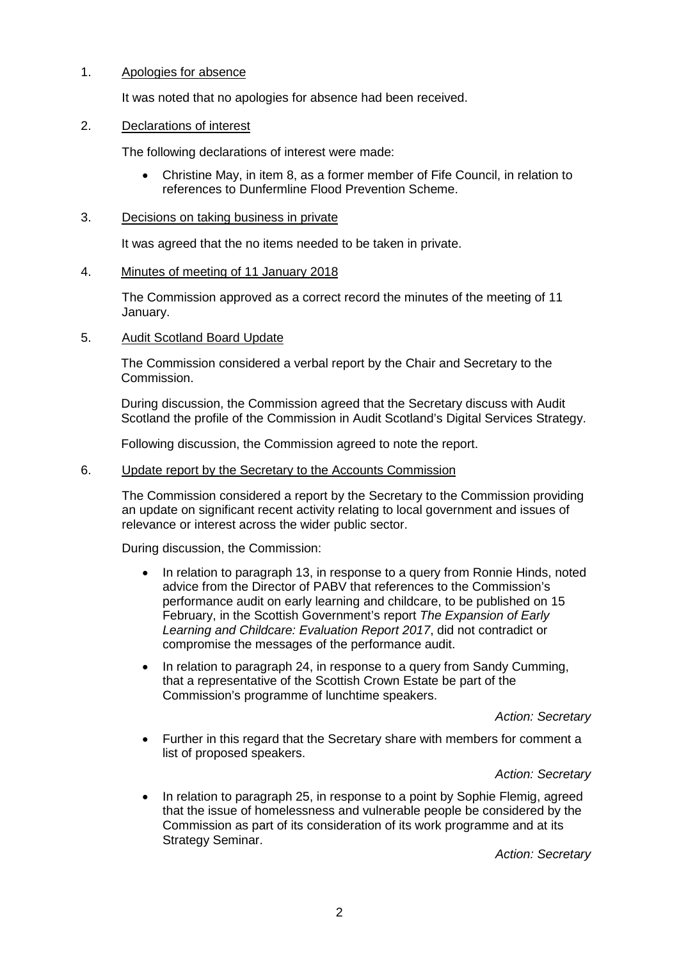## 1. Apologies for absence

It was noted that no apologies for absence had been received.

## 2. Declarations of interest

The following declarations of interest were made:

• Christine May, in item 8, as a former member of Fife Council, in relation to references to Dunfermline Flood Prevention Scheme.

### 3. Decisions on taking business in private

It was agreed that the no items needed to be taken in private.

## 4. Minutes of meeting of 11 January 2018

The Commission approved as a correct record the minutes of the meeting of 11 January.

## 5. Audit Scotland Board Update

The Commission considered a verbal report by the Chair and Secretary to the Commission.

During discussion, the Commission agreed that the Secretary discuss with Audit Scotland the profile of the Commission in Audit Scotland's Digital Services Strategy.

Following discussion, the Commission agreed to note the report.

#### 6. Update report by the Secretary to the Accounts Commission

The Commission considered a report by the Secretary to the Commission providing an update on significant recent activity relating to local government and issues of relevance or interest across the wider public sector.

During discussion, the Commission:

- In relation to paragraph 13, in response to a query from Ronnie Hinds, noted advice from the Director of PABV that references to the Commission's performance audit on early learning and childcare, to be published on 15 February, in the Scottish Government's report *The Expansion of Early Learning and Childcare: Evaluation Report 2017*, did not contradict or compromise the messages of the performance audit.
- In relation to paragraph 24, in response to a query from Sandy Cumming, that a representative of the Scottish Crown Estate be part of the Commission's programme of lunchtime speakers.

*Action: Secretary*

• Further in this regard that the Secretary share with members for comment a list of proposed speakers.

# *Action: Secretary*

• In relation to paragraph 25, in response to a point by Sophie Flemig, agreed that the issue of homelessness and vulnerable people be considered by the Commission as part of its consideration of its work programme and at its Strategy Seminar.

*Action: Secretary*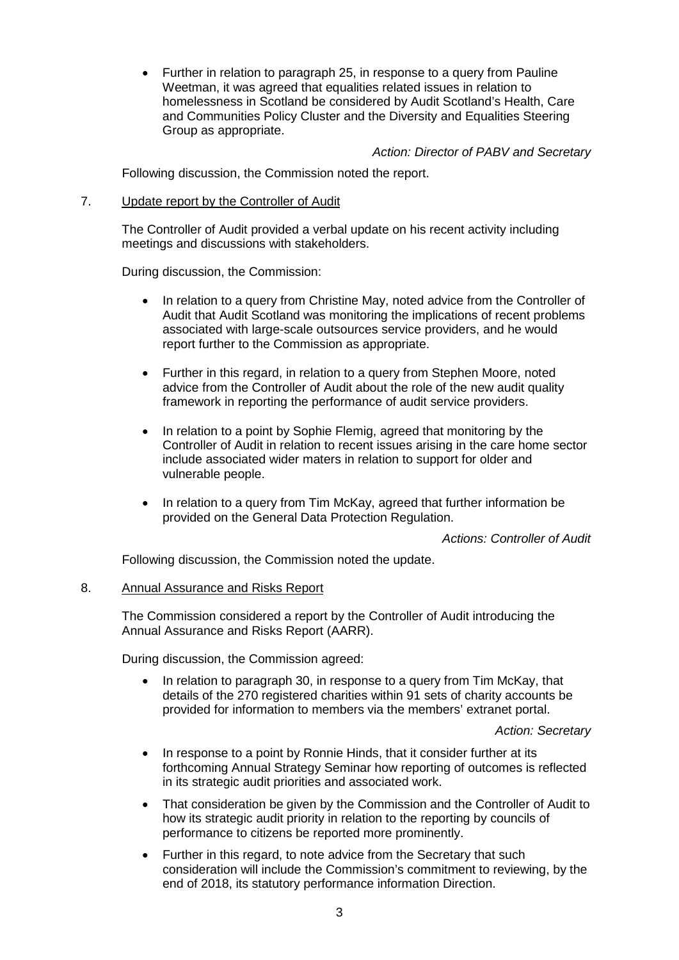• Further in relation to paragraph 25, in response to a query from Pauline Weetman, it was agreed that equalities related issues in relation to homelessness in Scotland be considered by Audit Scotland's Health, Care and Communities Policy Cluster and the Diversity and Equalities Steering Group as appropriate.

*Action: Director of PABV and Secretary*

Following discussion, the Commission noted the report.

7. Update report by the Controller of Audit

The Controller of Audit provided a verbal update on his recent activity including meetings and discussions with stakeholders.

During discussion, the Commission:

- In relation to a query from Christine May, noted advice from the Controller of Audit that Audit Scotland was monitoring the implications of recent problems associated with large-scale outsources service providers, and he would report further to the Commission as appropriate.
- Further in this regard, in relation to a query from Stephen Moore, noted advice from the Controller of Audit about the role of the new audit quality framework in reporting the performance of audit service providers.
- In relation to a point by Sophie Flemig, agreed that monitoring by the Controller of Audit in relation to recent issues arising in the care home sector include associated wider maters in relation to support for older and vulnerable people.
- In relation to a query from Tim McKay, agreed that further information be provided on the General Data Protection Regulation.

*Actions: Controller of Audit*

Following discussion, the Commission noted the update.

# 8. Annual Assurance and Risks Report

The Commission considered a report by the Controller of Audit introducing the Annual Assurance and Risks Report (AARR).

During discussion, the Commission agreed:

• In relation to paragraph 30, in response to a query from Tim McKay, that details of the 270 registered charities within 91 sets of charity accounts be provided for information to members via the members' extranet portal.

*Action: Secretary*

- In response to a point by Ronnie Hinds, that it consider further at its forthcoming Annual Strategy Seminar how reporting of outcomes is reflected in its strategic audit priorities and associated work.
- That consideration be given by the Commission and the Controller of Audit to how its strategic audit priority in relation to the reporting by councils of performance to citizens be reported more prominently.
- Further in this regard, to note advice from the Secretary that such consideration will include the Commission's commitment to reviewing, by the end of 2018, its statutory performance information Direction.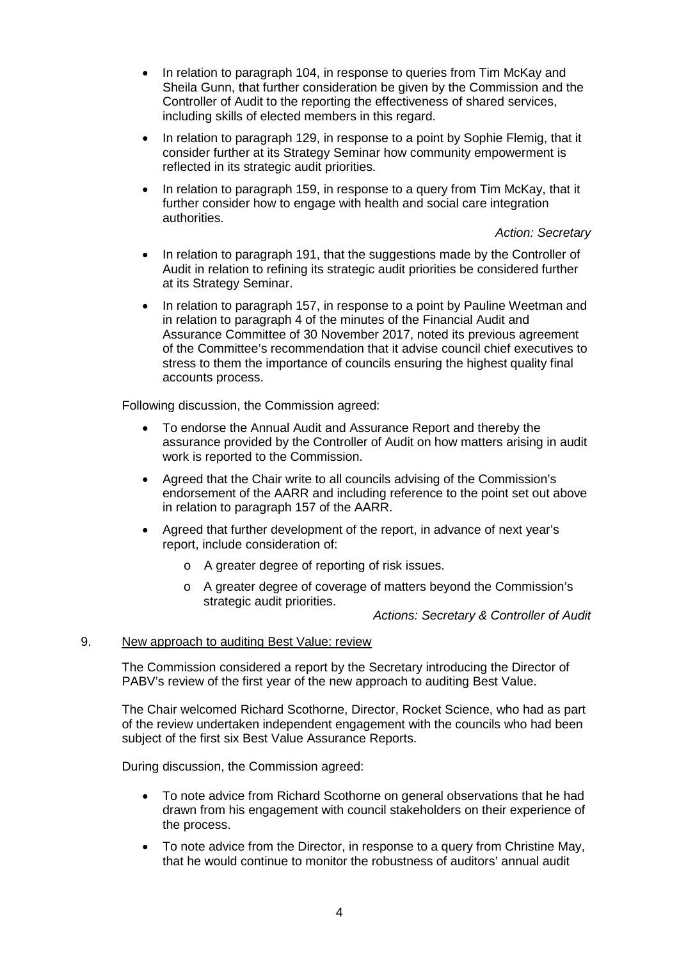- In relation to paragraph 104, in response to queries from Tim McKay and Sheila Gunn, that further consideration be given by the Commission and the Controller of Audit to the reporting the effectiveness of shared services, including skills of elected members in this regard.
- In relation to paragraph 129, in response to a point by Sophie Flemig, that it consider further at its Strategy Seminar how community empowerment is reflected in its strategic audit priorities.
- In relation to paragraph 159, in response to a query from Tim McKay, that it further consider how to engage with health and social care integration authorities.

# *Action: Secretary*

- In relation to paragraph 191, that the suggestions made by the Controller of Audit in relation to refining its strategic audit priorities be considered further at its Strategy Seminar.
- In relation to paragraph 157, in response to a point by Pauline Weetman and in relation to paragraph 4 of the minutes of the Financial Audit and Assurance Committee of 30 November 2017, noted its previous agreement of the Committee's recommendation that it advise council chief executives to stress to them the importance of councils ensuring the highest quality final accounts process.

Following discussion, the Commission agreed:

- To endorse the Annual Audit and Assurance Report and thereby the assurance provided by the Controller of Audit on how matters arising in audit work is reported to the Commission.
- Agreed that the Chair write to all councils advising of the Commission's endorsement of the AARR and including reference to the point set out above in relation to paragraph 157 of the AARR.
- Agreed that further development of the report, in advance of next year's report, include consideration of:
	- o A greater degree of reporting of risk issues.
	- o A greater degree of coverage of matters beyond the Commission's strategic audit priorities.

*Actions: Secretary & Controller of Audit*

## 9. New approach to auditing Best Value: review

The Commission considered a report by the Secretary introducing the Director of PABV's review of the first year of the new approach to auditing Best Value.

The Chair welcomed Richard Scothorne, Director, Rocket Science, who had as part of the review undertaken independent engagement with the councils who had been subject of the first six Best Value Assurance Reports.

During discussion, the Commission agreed:

- To note advice from Richard Scothorne on general observations that he had drawn from his engagement with council stakeholders on their experience of the process.
- To note advice from the Director, in response to a query from Christine May, that he would continue to monitor the robustness of auditors' annual audit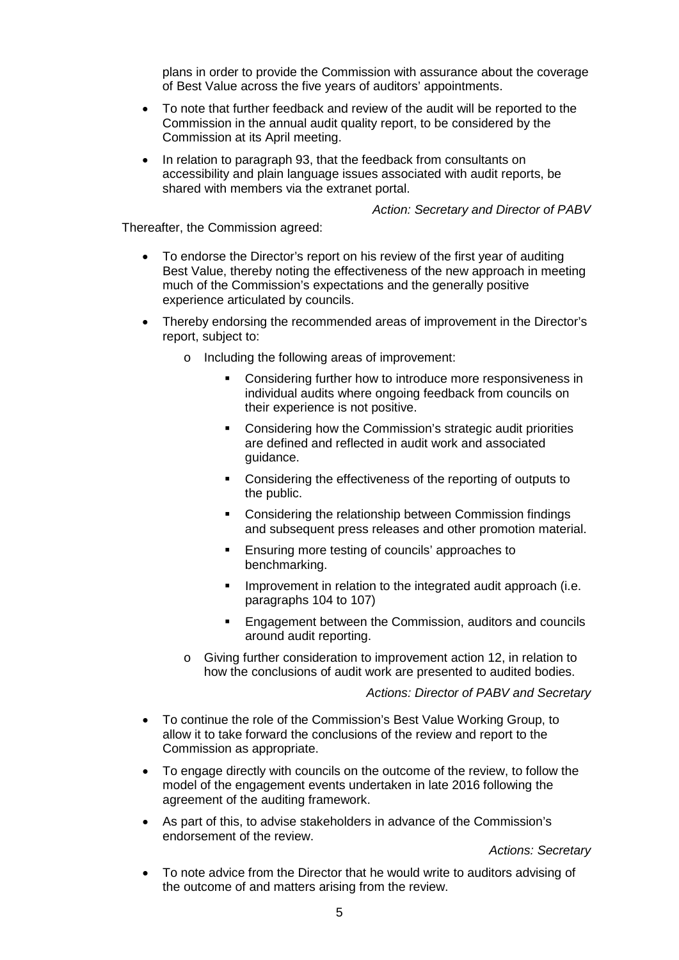plans in order to provide the Commission with assurance about the coverage of Best Value across the five years of auditors' appointments.

- To note that further feedback and review of the audit will be reported to the Commission in the annual audit quality report, to be considered by the Commission at its April meeting.
- In relation to paragraph 93, that the feedback from consultants on accessibility and plain language issues associated with audit reports, be shared with members via the extranet portal.

*Action: Secretary and Director of PABV*

Thereafter, the Commission agreed:

- To endorse the Director's report on his review of the first year of auditing Best Value, thereby noting the effectiveness of the new approach in meeting much of the Commission's expectations and the generally positive experience articulated by councils.
- Thereby endorsing the recommended areas of improvement in the Director's report, subject to:
	- o Including the following areas of improvement:
		- Considering further how to introduce more responsiveness in individual audits where ongoing feedback from councils on their experience is not positive.
		- **Considering how the Commission's strategic audit priorities** are defined and reflected in audit work and associated guidance.
		- **Considering the effectiveness of the reporting of outputs to** the public.
		- **Considering the relationship between Commission findings** and subsequent press releases and other promotion material.
		- **Ensuring more testing of councils' approaches to** benchmarking.
		- Improvement in relation to the integrated audit approach (i.e. paragraphs 104 to 107)
		- **Engagement between the Commission, auditors and councils** around audit reporting.
	- o Giving further consideration to improvement action 12, in relation to how the conclusions of audit work are presented to audited bodies.

#### *Actions: Director of PABV and Secretary*

- To continue the role of the Commission's Best Value Working Group, to allow it to take forward the conclusions of the review and report to the Commission as appropriate.
- To engage directly with councils on the outcome of the review, to follow the model of the engagement events undertaken in late 2016 following the agreement of the auditing framework.
- As part of this, to advise stakeholders in advance of the Commission's endorsement of the review.

*Actions: Secretary*

• To note advice from the Director that he would write to auditors advising of the outcome of and matters arising from the review.